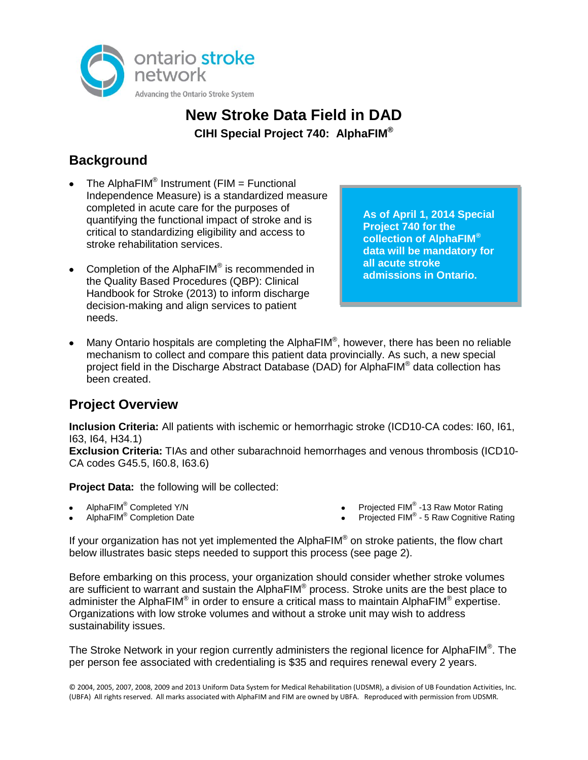

## **New Stroke Data Field in DAD CIHI Special Project 740: AlphaFIM®**

## **Background**

- The Alpha $FIM^@$  Instrument (FIM = Functional Independence Measure) is a standardized measure completed in acute care for the purposes of quantifying the functional impact of stroke and is critical to standardizing eligibility and access to stroke rehabilitation services.
- Completion of the AlphaFIM<sup>®</sup> is recommended in the Quality Based Procedures (QBP): Clinical Handbook for Stroke (2013) to inform discharge decision-making and align services to patient needs.

**As of April 1, 2014 Special Project 740 for the collection of AlphaFIM® data will be mandatory for all acute stroke admissions in Ontario.**

Many Ontario hospitals are completing the AlphaFIM<sup>®</sup>, however, there has been no reliable mechanism to collect and compare this patient data provincially. As such, a new special project field in the Discharge Abstract Database (DAD) for AlphaFIM® data collection has been created.

## **Project Overview**

**Inclusion Criteria:** All patients with ischemic or hemorrhagic stroke (ICD10-CA codes: I60, I61, I63, I64, H34.1)

**Exclusion Criteria:** TIAs and other subarachnoid hemorrhages and venous thrombosis (ICD10- CA codes G45.5, I60.8, I63.6)

**Project Data:** the following will be collected:

- AlphaFIM® Completed Y/N
- AlphaFIM® Completion Date
- Projected FIM<sup>®</sup> -13 Raw Motor Rating
- Projected FIM® 5 Raw Cognitive Rating

If your organization has not yet implemented the AlphaFIM® on stroke patients, the flow chart below illustrates basic steps needed to support this process (see page 2).

Before embarking on this process, your organization should consider whether stroke volumes are sufficient to warrant and sustain the AlphaFIM<sup>®</sup> process. Stroke units are the best place to administer the AlphaFIM® in order to ensure a critical mass to maintain AlphaFIM® expertise. Organizations with low stroke volumes and without a stroke unit may wish to address sustainability issues.

The Stroke Network in your region currently administers the regional licence for AlphaFIM<sup>®</sup>. The per person fee associated with credentialing is \$35 and requires renewal every 2 years.

© 2004, 2005, 2007, 2008, 2009 and 2013 Uniform Data System for Medical Rehabilitation (UDSMR), a division of UB Foundation Activities, Inc. (UBFA) All rights reserved. All marks associated with AlphaFIM and FIM are owned by UBFA. Reproduced with permission from UDSMR.